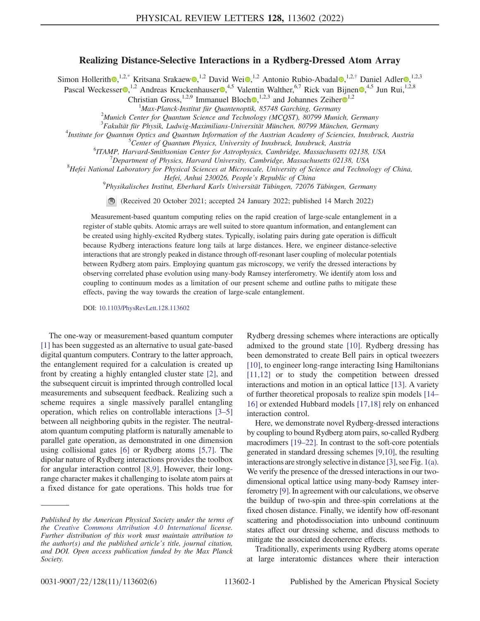## Realizing Distance-Selective Interactions in a Rydberg-Dressed Atom Array

<span id="page-0-0"></span>Simon Hollerith [,](https://orcid.org/0000-0002-2504-8559)<sup>1,2[,\\*](#page-4-0)</sup> Kritsana Srakaew ,<sup>1,2</sup> David Wei ,<sup>1,2</sup> Antonio Rubio-Abadal ,<sup>1,2,[†](#page-4-1)</sup> Daniel Adler ,<sup>1,2,3</sup>

Pascal Weckesser  $\bullet$ ,<sup>1,2</sup> Andreas Kruckenhauser  $\bullet$ ,<sup>4,5</sup> Valentin Walther,<sup>6,7</sup> Rick van Bijnen  $\bullet$ ,<sup>4,5</sup> Jun Rui,<sup>1,2,8</sup>

Christian Gross,<sup>[1](https://orcid.org/0000-0002-8466-1863),2,9</sup> Immanuel Bloch  $\bullet$ ,<sup>1,2,3</sup> and Johannes Zeiher  $\bullet$ <sup>1,2</sup>

<sup>1</sup>Max-Planck-Institut für Quantenoptik, 85748 Garching, Germany<br><sup>2</sup>Munich Center for Quantum Science and Technology (MCOST), 80700 Muni

<sup>2</sup>Munich Center for Quantum Science and Technology (MCQST), 80799 Munich, Germany

<sup>3</sup> Fakultät für Physik, Ludwig-Maximilians-Universität München, 80799 München, Germany<br><sup>4</sup>Institute for Quantum Opties and Quantum Information of the Austrian Asadamy of Sciencies, Innshr

<sup>4</sup>Institute for Quantum Optics and Quantum Information of the Austrian Academy of Sciencies, Innsbruck, Austria

<sup>5</sup> Center of Quantum Physics, University of Innsbruck, Innsbruck, Austria

<sup>6</sup>ITAMP, Harvard-Smithsonian Center for Astrophysics, Cambridge, Massachusetts 02138, USA

 $D^{\prime}$ Department of Physics, Harvard University, Cambridge, Massachusetts 02138, USA

 ${}^{8}$ Hefei National Laboratory for Physical Sciences at Microscale, University of Science and Technology of China,

Hefei, Anhui 230026, People's Republic of China <sup>9</sup>

Physikalisches Institut, Eberhard Karls Universität Tübingen, 72076 Tübingen, Germany

(Received 20 October 2021; accepted 24 January 2022; published 14 March 2022)

Measurement-based quantum computing relies on the rapid creation of large-scale entanglement in a register of stable qubits. Atomic arrays are well suited to store quantum information, and entanglement can be created using highly-excited Rydberg states. Typically, isolating pairs during gate operation is difficult because Rydberg interactions feature long tails at large distances. Here, we engineer distance-selective interactions that are strongly peaked in distance through off-resonant laser coupling of molecular potentials between Rydberg atom pairs. Employing quantum gas microscopy, we verify the dressed interactions by observing correlated phase evolution using many-body Ramsey interferometry. We identify atom loss and coupling to continuum modes as a limitation of our present scheme and outline paths to mitigate these effects, paving the way towards the creation of large-scale entanglement.

DOI: [10.1103/PhysRevLett.128.113602](https://doi.org/10.1103/PhysRevLett.128.113602)

The one-way or measurement-based quantum computer [\[1\]](#page-4-2) has been suggested as an alternative to usual gate-based digital quantum computers. Contrary to the latter approach, the entanglement required for a calculation is created up front by creating a highly entangled cluster state [\[2](#page-4-3)], and the subsequent circuit is imprinted through controlled local measurements and subsequent feedback. Realizing such a scheme requires a single massively parallel entangling operation, which relies on controllable interactions [[3](#page-4-4)–[5\]](#page-4-5) between all neighboring qubits in the register. The neutralatom quantum computing platform is naturally amenable to parallel gate operation, as demonstrated in one dimension using collisional gates [[6\]](#page-4-6) or Rydberg atoms [\[5](#page-4-5),[7](#page-4-7)]. The dipolar nature of Rydberg interactions provides the toolbox for angular interaction control [\[8](#page-4-8)[,9\]](#page-4-9). However, their longrange character makes it challenging to isolate atom pairs at a fixed distance for gate operations. This holds true for

Rydberg dressing schemes where interactions are optically admixed to the ground state [[10](#page-4-10)]. Rydberg dressing has been demonstrated to create Bell pairs in optical tweezers [\[10\]](#page-4-10), to engineer long-range interacting Ising Hamiltonians [\[11](#page-4-11)[,12\]](#page-4-12) or to study the competition between dressed interactions and motion in an optical lattice [[13](#page-4-13)]. A variety of further theoretical proposals to realize spin models [\[14](#page-4-14)– [16\]](#page-4-15) or extended Hubbard models [[17](#page-4-16),[18](#page-4-17)] rely on enhanced interaction control.

Here, we demonstrate novel Rydberg-dressed interactions by coupling to bound Rydberg atom pairs, so-called Rydberg macrodimers [\[19](#page-4-18)–[22](#page-4-19)]. In contrast to the soft-core potentials generated in standard dressing schemes [[9](#page-4-9)[,10\]](#page-4-10), the resulting interactions are strongly selective in distance [\[3\]](#page-4-4), see Fig. [1\(a\)](#page-1-0). We verify the presence of the dressed interactions in our twodimensional optical lattice using many-body Ramsey interferometry [\[9](#page-4-9)]. In agreement with our calculations, we observe the buildup of two-spin and three-spin correlations at the fixed chosen distance. Finally, we identify how off-resonant scattering and photodissociation into unbound continuum states affect our dressing scheme, and discuss methods to mitigate the associated decoherence effects.

Traditionally, experiments using Rydberg atoms operate at large interatomic distances where their interaction

Published by the American Physical Society under the terms of the [Creative Commons Attribution 4.0 International](https://creativecommons.org/licenses/by/4.0/) license. Further distribution of this work must maintain attribution to the author(s) and the published article's title, journal citation, and DOI. Open access publication funded by the Max Planck Society.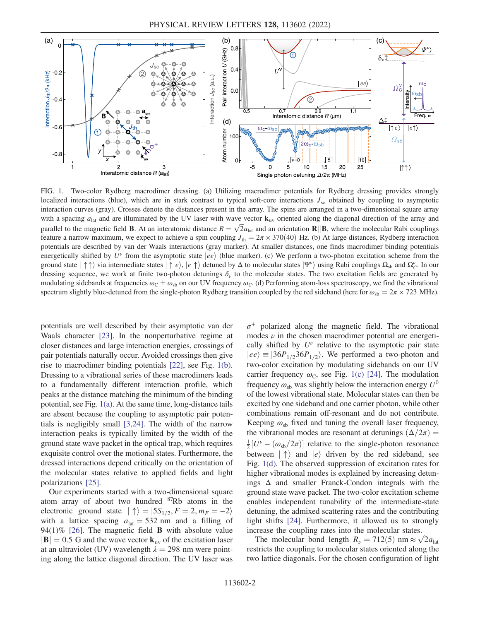<span id="page-1-0"></span>

FIG. 1. Two-color Rydberg macrodimer dressing. (a) Utilizing macrodimer potentials for Rydberg dressing provides strongly localized interactions (blue), which are in stark contrast to typical soft-core interactions  $J_{\rm sc}$  obtained by coupling to asymptotic interaction curves (gray). Crosses denote the distances present in the array. The spins are arranged in a two-dimensional square array with a spacing  $a_{lat}$  and are illuminated by the UV laser with wave vector  $\mathbf{k}_{uv}$  oriented along the diagonal direction of the array and parallel to the magnetic field **B**. At an interatomic distance  $R = \sqrt{2}a_{lat}$  and an orientation **R**||**B**, where the molecular Rabi couplings feature a narrow maximum, we expect to achieve a spin coupling  $J_{\text{th}} = 2\pi \times 370(40)$  Hz. (b) At large distances, Rydberg interaction potentials are described by van der Waals interactions (gray marker). At smaller distances, one finds macrodimer binding potentials energetically shifted by  $U^{\nu}$  from the asymptotic state  $|ee\rangle$  (blue marker). (c) We perform a two-photon excitation scheme from the ground state  $|\uparrow \uparrow \rangle$  via intermediate states  $|\uparrow e \rangle$ ,  $|e \uparrow \rangle$  detuned by  $\Delta$  to molecular states  $|\Psi^{\nu} \rangle$  using Rabi couplings  $\Omega_{sb}$  and  $\Omega_c^{\nu}$ . In our dressing sequence, we work at finite two-photon detunings  $\delta_{\nu}$  to the molecular states. The two excitation fields are generated by modulating sidebands at frequencies  $\omega_c \pm \omega_{sb}$  on our UV frequency  $\omega_c$ . (d) Performing atom-loss spectroscopy, we find the vibrational spectrum slightly blue-detuned from the single-photon Rydberg transition coupled by the red sideband (here for  $\omega_{sb} = 2\pi \times 723$  MHz).

potentials are well described by their asymptotic van der Waals character [[23](#page-4-20)]. In the nonperturbative regime at closer distances and large interaction energies, crossings of pair potentials naturally occur. Avoided crossings then give rise to macrodimer binding potentials [[22](#page-4-19)], see Fig. [1\(b\)](#page-1-0). Dressing to a vibrational series of these macrodimers leads to a fundamentally different interaction profile, which peaks at the distance matching the minimum of the binding potential, see Fig. [1\(a\)](#page-1-0). At the same time, long-distance tails are absent because the coupling to asymptotic pair potentials is negligibly small [\[3](#page-4-4),[24](#page-5-0)]. The width of the narrow interaction peaks is typically limited by the width of the ground state wave packet in the optical trap, which requires exquisite control over the motional states. Furthermore, the dressed interactions depend critically on the orientation of the molecular states relative to applied fields and light polarizations [[25](#page-5-1)].

Our experiments started with a two-dimensional square atom array of about two hundred <sup>87</sup>Rb atoms in the electronic ground state  $|\uparrow\rangle = |5S_{1/2}, F = 2, m_F = -2\rangle$ with a lattice spacing  $a_{\text{lat}} = 532 \text{ nm}$  and a filling of 94(1)% [\[26\]](#page-5-2). The magnetic field **B** with absolute value  $|\mathbf{B}| = 0.5$  G and the wave vector  $\mathbf{k}_{uv}$  of the excitation laser at an ultraviolet (UV) wavelength  $\lambda = 298$  nm were pointing along the lattice diagonal direction. The UV laser was  $\sigma^+$  polarized along the magnetic field. The vibrational modes  $\nu$  in the chosen macrodimer potential are energetically shifted by  $U^{\nu}$  relative to the asymptotic pair state  $|ee\rangle = |36P_{1/2}36P_{1/2}\rangle$ . We performed a two-photon and two-color excitation by modulating sidebands on our UV carrier frequency  $\omega_C$ , see Fig. [1\(c\)](#page-1-0) [[24](#page-5-0)]. The modulation frequency  $\omega_{\rm sh}$  was slightly below the interaction energy  $U^0$ of the lowest vibrational state. Molecular states can then be excited by one sideband and one carrier photon, while other combinations remain off-resonant and do not contribute. Keeping  $\omega_{sb}$  fixed and tuning the overall laser frequency, the vibrational modes are resonant at detunings  $(\Delta/2\pi)$  =  $\frac{1}{2}[U^{\nu} - (\omega_{sb}/2\pi)]$  relative to the single-photon resonance between  $|\uparrow\rangle$  and  $|e\rangle$  driven by the red sideband, see Fig. [1\(d\).](#page-1-0) The observed suppression of excitation rates for higher vibrational modes is explained by increasing detunings  $\Delta$  and smaller Franck-Condon integrals with the ground state wave packet. The two-color excitation scheme enables independent tunability of the intermediate-state detuning, the admixed scattering rates and the contributing light shifts [[24](#page-5-0)]. Furthermore, it allowed us to strongly increase the coupling rates into the molecular states.

The molecular bond length  $R_v = 712(5)$  nm  $\approx \sqrt{2}a_{\text{lat}}$ restricts the coupling to molecular states oriented along the two lattice diagonals. For the chosen configuration of light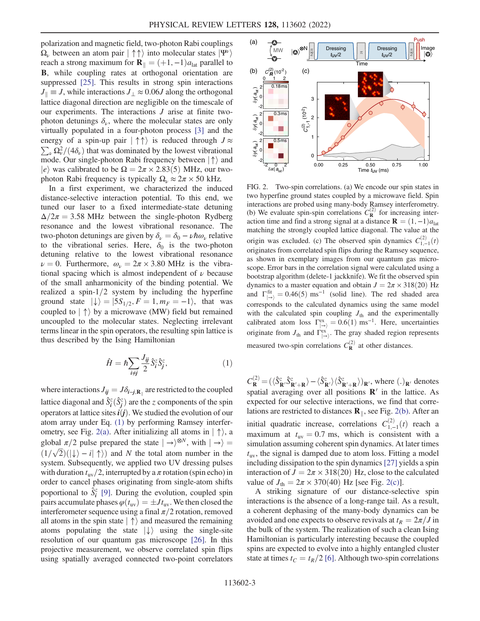polarization and magnetic field, two-photon Rabi couplings  $\Omega_{\nu}$  between an atom pair  $|\uparrow \uparrow \rangle$  into molecular states  $|\Psi^{\nu} \rangle$ reach a strong maximum for  $\mathbf{R}_{\parallel} = (+1, -1)a_{\text{lat}}$  parallel to B, while coupling rates at orthogonal orientation are suppressed [[25](#page-5-1)]. This results in strong spin interactions  $J_{\parallel} \equiv J$ , while interactions  $J_{\perp} \approx 0.06J$  along the orthogonal lattice diagonal direction are negligible on the timescale of our experiments. The interactions  $J$  arise at finite twophoton detunings  $\delta_{\nu}$ , where the molecular states are only virtually populated in a four-photon process [[3\]](#page-4-4) and the  $\sum_{\nu} \Omega_{\nu}^2/(4\delta_{\nu})$  that was dominated by the lowest vibrational energy of a spin-up pair  $|\uparrow \uparrow \rangle$  is reduced through  $J \approx$ mode. Our single-photon Rabi frequency between  $|\uparrow\rangle$  and  $|e\rangle$  was calibrated to be  $\Omega = 2\pi \times 2.83(5)$  MHz, our twophoton Rabi frequency is typically  $\Omega_{\nu} \approx 2\pi \times 50$  kHz.

In a first experiment, we characterized the induced distance-selective interaction potential. To this end, we tuned our laser to a fixed intermediate-state detuning  $\Delta/2\pi$  = 3.58 MHz between the single-photon Rydberg resonance and the lowest vibrational resonance. The two-photon detunings are given by  $\delta_{\nu} = \delta_0 - \nu \hbar \omega_{\nu}$  relative to the vibrational series. Here,  $\delta_0$  is the two-photon detuning relative to the lowest vibrational resonance  $\nu = 0$ . Furthermore,  $\omega_{\nu} = 2\pi \times 3.80$  MHz is the vibrational spacing which is almost independent of  $\nu$  because of the small anharmonicity of the binding potential. We realized a spin- $1/2$  system by including the hyperfine ground state  $|\downarrow\rangle = |5S_{1/2}, F = 1, m_F = -1\rangle$ , that was coupled to  $\langle \uparrow \rangle$  by a microwave (MW) field but remained uncoupled to the molecular states. Neglecting irrelevant terms linear in the spin operators, the resulting spin lattice is thus described by the Ising Hamiltonian

$$
\hat{H} = \hbar \sum_{i \neq j} \frac{J_{ij}}{2} \hat{S}_i^z \hat{S}_j^z,\tag{1}
$$

<span id="page-2-0"></span>where interactions  $J_{ij} = J\delta_{i-j,\mathbf{R}_{\parallel}}$  are restricted to the coupled lattice diagonal and  $\hat{S}_i^z(\hat{S}_j^z)$  are the z components of the spin operators at lattice sites  $i(j)$ . We studied the evolution of our atom array under Eq. [\(1\)](#page-2-0) by performing Ramsey interfer-ometry, see Fig. [2\(a\)](#page-2-1). After initializing all atoms in  $|\uparrow\rangle$ , a global  $\pi/2$  pulse prepared the state  $|\rightarrow\rangle^{\otimes N}$ , with  $|\rightarrow\rangle =$  $(1/\sqrt{2})(\ket{\downarrow} - i \ket{\uparrow})$  and N the total atom number in the system. Subsequently, we applied two UV dressing pulses with duration  $t_{\rm uv}/2$ , interrupted by a  $\pi$  rotation (spin echo) in order to cancel phases originating from single-atom shifts poportional to  $\hat{S}_i^z$  [\[9\]](#page-4-9). During the evolution, coupled spin pairs accumulate phases  $\varphi(t_{uv}) = \pm J t_{uv}$ . We then closed the interferometer sequence using a final  $\pi/2$  rotation, removed all atoms in the spin state  $\ket{\uparrow}$  and measured the remaining atoms populating the state  $|\downarrow\rangle$  using the single-site resolution of our quantum gas microscope [\[26\]](#page-5-2). In this projective measurement, we observe correlated spin flips using spatially averaged connected two-point correlators

<span id="page-2-1"></span>

FIG. 2. Two-spin correlations. (a) We encode our spin states in two hyperfine ground states coupled by a microwave field. Spin interactions are probed using many-body Ramsey interferometry. (b) We evaluate spin-spin correlations  $C_R^{(2)}$  for increasing interaction time and find a strong signal at a distance  $\mathbf{R} = (1, -1)a_{\text{lat}}$ matching the strongly coupled lattice diagonal. The value at the origin was excluded. (c) The observed spin dynamics  $C_{1,-1}^{(2)}(t)$ originates from correlated spin flips during the Ramsey sequence, as shown in exemplary images from our quantum gas microscope. Error bars in the correlation signal were calculated using a bootstrap algorithm (delete-1 jackknife). We fit the observed spin dynamics to a master equation and obtain  $J = 2\pi \times 318(20)$  Hz and  $\Gamma_{\ket{\rightarrow}}^{\text{fit}} = 0.46(5) \text{ ms}^{-1}$  (solid line). The red shaded area corresponds to the calculated dynamics using the same model with the calculated spin coupling  $J_{th}$  and the experimentally calibrated atom loss  $\Gamma_{\rightarrow}^{ex} = 0.6(1) \text{ ms}^{-1}$ . Here, uncertainties originate from  $J_{\text{th}}$  and  $\Gamma^{\text{ex}}_{|\rightarrow\rangle}$ . The gray shaded region represents measured two-spin correlations  $C_R^{(2)}$  at other distances.

 $C_{\mathbf{R}}^{(2)} = (\langle \hat{S}_{\mathbf{R'}}^z \hat{S}_{\mathbf{R'}+\mathbf{R}}^z \rangle - \langle \hat{S}_{\mathbf{R'}}^z \rangle \langle \hat{S}_{\mathbf{R'+R}}^z \rangle)_{\mathbf{R'}}$ , where  $(.)_{\mathbf{R'}}$  denotes spatial averaging over all positions  $\mathbb{R}^7$  in the lattice. As expected for our selective interactions, we find that correlations are restricted to distances  $\mathbf{R}_{\parallel}$ , see Fig. [2\(b\)](#page-2-1). After an initial quadratic increase, correlations  $C_{1,-1}^{(2)}(t)$  reach a maximum at  $t_{\text{uv}} = 0.7$  ms, which is consistent with a simulation assuming coherent spin dynamics. At later times  $t_{\rm uv}$ , the signal is damped due to atom loss. Fitting a model including dissipation to the spin dynamics[\[27\]](#page-5-3) yields a spin interaction of  $J = 2\pi \times 318(20)$  Hz, close to the calculated value of  $J_{\text{th}} = 2\pi \times 370(40)$  Hz [see Fig. [2\(c\)](#page-2-1)].

A striking signature of our distance-selective spin interactions is the absence of a long-range tail. As a result, a coherent dephasing of the many-body dynamics can be avoided and one expects to observe revivals at  $t_R = 2\pi/J$  in the bulk of the system. The realization of such a clean Ising Hamiltonian is particularly interesting because the coupled spins are expected to evolve into a highly entangled cluster state at times  $t_C = t_R/2$  [[6](#page-4-6)]. Although two-spin correlations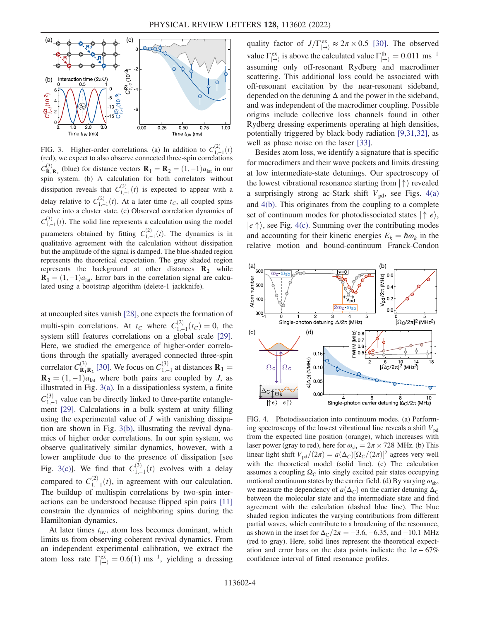<span id="page-3-0"></span>

FIG. 3. Higher-order correlations. (a) In addition to  $C_{1,-1}^{(2)}(t)$ (red), we expect to also observe connected three-spin correlations  $C_{\mathbf{R}_1 \mathbf{R}_2}^{(3)}$  (blue) for distance vectors  $\mathbf{R}_1 = \mathbf{R}_2 = (1, -1)a_{\text{lat}}$  in our spin system. (b) A calculation for both correlators without dissipation reveals that  $C_{1,-1}^{(3)}(t)$  is expected to appear with a delay relative to  $C_{1,-1}^{(2)}(t)$ . At a later time  $t_C$ , all coupled spins evolve into a cluster state. (c) Observed correlation dynamics of  $C_{1,-1}^{(3)}(t)$ . The solid line represents a calculation using the model parameters obtained by fitting  $C_{1,-1}^{(2)}(t)$ . The dynamics is in qualitative agreement with the calculation without dissipation but the amplitude of the signal is damped. The blue-shaded region represents the theoretical expectation. The gray shaded region represents the background at other distances  $\mathbf{R}_2$  while  $\mathbf{R}_1 = (1, -1)a_{\text{lat}}$ . Error bars in the correlation signal are calculated using a bootstrap algorithm (delete-1 jackknife).

at uncoupled sites vanish [[28](#page-5-4)], one expects the formation of multi-spin correlations. At  $t_C$  where  $C_{1,-1}^{(2)}(t_C) = 0$ , the system still features correlations on a global scale [[29](#page-5-5)]. Here, we studied the emergence of higher-order correlations through the spatially averaged connected three-spin correlator  $C_{\mathbf{R}_1\mathbf{R}_2}^{(3)}$  [\[30\]](#page-5-6). We focus on  $C_{1,-1}^{(3)}$  at distances  $\mathbf{R}_1 =$  $\mathbf{R}_2 = (1, -1)a_{\text{lat}}$  where both pairs are coupled by J, as illustrated in Fig. [3\(a\).](#page-3-0) In a dissipationless system, a finite  $C_{1,-1}^{(3)}$  value can be directly linked to three-partite entanglement [\[29\]](#page-5-5). Calculations in a bulk system at unity filling using the experimental value of  $J$  with vanishing dissipation are shown in Fig. [3\(b\)](#page-3-0), illustrating the revival dynamics of higher order correlations. In our spin system, we observe qualitatively similar dynamics, however, with a lower amplitude due to the presence of dissipation [see Fig. [3\(c\)\]](#page-3-0). We find that  $C_{1,-1}^{(3)}(t)$  evolves with a delay compared to  $C_{1,-1}^{(2)}(t)$ , in agreement with our calculation. The buildup of multispin correlations by two-spin interactions can be understood because flipped spin pairs [\[11\]](#page-4-11) constrain the dynamics of neighboring spins during the Hamiltonian dynamics.

At later times  $t_{uv}$ , atom loss becomes dominant, which limits us from observing coherent revival dynamics. From an independent experimental calibration, we extract the atom loss rate  $\Gamma_{\ket{\rightarrow}}^{\text{ex}} = 0.6(1) \text{ ms}^{-1}$ , yielding a dressing

quality factor of  $J/\Gamma_{\to}^{\text{ex}} \approx 2\pi \times 0.5$  [\[30\]](#page-5-6). The observed value  $\Gamma_{\ket{\rightarrow}}^{\text{ex}}$  is above the calculated value  $\Gamma_{\ket{\rightarrow}}^{\text{th}} = 0.011 \text{ ms}^{-1}$ assuming only off-resonant Rydberg and macrodimer scattering. This additional loss could be associated with off-resonant excitation by the near-resonant sideband, depended on the detuning  $\Delta$  and the power in the sideband, and was independent of the macrodimer coupling. Possible origins include collective loss channels found in other Rydberg dressing experiments operating at high densities, potentially triggered by black-body radiation [[9,](#page-4-9)[31](#page-5-7),[32](#page-5-8)], as well as phase noise on the laser [[33](#page-5-9)].

Besides atom loss, we identify a signature that is specific for macrodimers and their wave packets and limits dressing at low intermediate-state detunings. Our spectroscopy of the lowest vibrational resonance starting from  $|\uparrow\rangle$  revealed a surprisingly strong ac-Stark shift  $V_{pd}$ , see Figs. [4\(a\)](#page-3-1) and [4\(b\).](#page-3-1) This originates from the coupling to a complete set of continuum modes for photodissociated states  $| \uparrow e \rangle$ ,  $|e \uparrow \rangle$ , see Fig. [4\(c\)](#page-3-1). Summing over the contributing modes and accounting for their kinetic energies  $E_k = \hbar \omega_k$  in the relative motion and bound-continuum Franck-Condon

<span id="page-3-1"></span>

FIG. 4. Photodissociation into continuum modes. (a) Performing spectroscopy of the lowest vibrational line reveals a shift  $V_{pd}$ from the expected line position (orange), which increases with laser power (gray to red), here for  $\omega_{sb} = 2\pi \times 728$  MHz. (b) This linear light shift  $V_{\text{pd}}/(2\pi) = a(\Delta_C)[\Omega_C/(2\pi)]^2$  agrees very well with the theoretical model (solid line). (c) The calculation assumes a coupling  $\Omega_{\rm C}$  into singly excited pair states occupying motional continuum states by the carrier field. (d) By varying  $\omega_{sb}$ , we measure the dependency of  $a(\Delta_C)$  on the carrier detuning  $\Delta_C$ between the molecular state and the intermediate state and find agreement with the calculation (dashed blue line). The blue shaded region indicates the varying contributions from different partial waves, which contribute to a broadening of the resonance, as shown in the inset for  $\Delta_C/2\pi = -3.6, -6.35, \text{ and } -10.1 \text{ MHz}$ (red to gray). Here, solid lines represent the theoretical expectation and error bars on the data points indicate the  $1\sigma - 67\%$ confidence interval of fitted resonance profiles.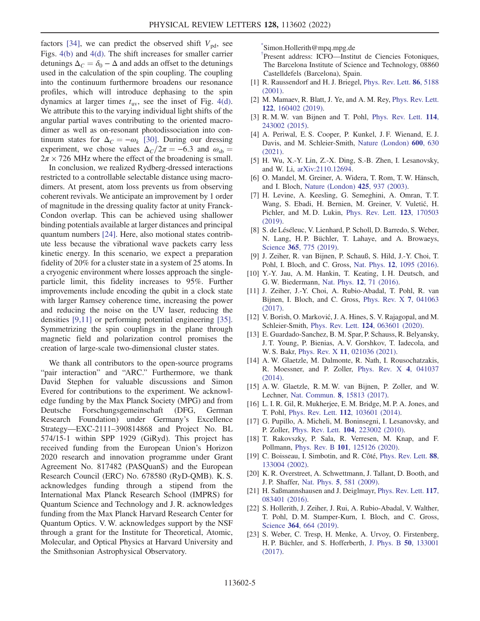factors [\[34\]](#page-5-10), we can predict the observed shift  $V_{pd}$ , see Figs. [4\(b\)](#page-3-1) and [4\(d\)](#page-3-1). The shift increases for smaller carrier detunings  $\Delta_C = \delta_0 - \Delta$  and adds an offset to the detunings used in the calculation of the spin coupling. The coupling into the continuum furthermore broadens our resonance profiles, which will introduce dephasing to the spin dynamics at larger times  $t_{uv}$ , see the inset of Fig. [4\(d\)](#page-3-1). We attribute this to the varying individual light shifts of the angular partial waves contributing to the oriented macrodimer as well as on-resonant photodissociation into continuum states for  $\Delta_C = -\omega_k$  [[30](#page-5-6)]. During our dressing experiment, we chose values  $\Delta_C/2\pi = -6.3$  and  $\omega_{sb} =$  $2\pi \times 726$  MHz where the effect of the broadening is small.

In conclusion, we realized Rydberg-dressed interactions restricted to a controllable selectable distance using macrodimers. At present, atom loss prevents us from observing coherent revivals. We anticipate an improvement by 1 order of magnitude in the dressing quality factor at unity Franck-Condon overlap. This can be achieved using shallower binding potentials available at larger distances and principal quantum numbers [[24](#page-5-0)]. Here, also motional states contribute less because the vibrational wave packets carry less kinetic energy. In this scenario, we expect a preparation fidelity of 20% for a cluster state in a system of 25 atoms. In a cryogenic environment where losses approach the singleparticle limit, this fidelity increases to 95%. Further improvements include encoding the qubit in a clock state with larger Ramsey coherence time, increasing the power and reducing the noise on the UV laser, reducing the densities [[9](#page-4-9)[,11\]](#page-4-11) or performing potential engineering [[35](#page-5-11)]. Symmetrizing the spin couplings in the plane through magnetic field and polarization control promises the creation of large-scale two-dimensional cluster states.

We thank all contributors to the open-source programs "pair interaction" and "ARC." Furthermore, we thank David Stephen for valuable discussions and Simon Evered for contributions to the experiment. We acknowledge funding by the Max Planck Society (MPG) and from Deutsche Forschungsgemeinschaft (DFG, German Research Foundation) under Germany's Excellence Strategy—EXC-2111–390814868 and Project No. BL 574/15-1 within SPP 1929 (GiRyd). This project has received funding from the European Union's Horizon 2020 research and innovation programme under Grant Agreement No. 817482 (PASQuanS) and the European Research Council (ERC) No. 678580 (RyD-QMB). K. S. acknowledges funding through a stipend from the International Max Planck Research School (IMPRS) for Quantum Science and Technology and J. R. acknowledges funding from the Max Planck Harvard Research Center for Quantum Optics. V. W. acknowledges support by the NSF through a grant for the Institute for Theoretical, Atomic, Molecular, and Optical Physics at Harvard University and the Smithsonian Astrophysical Observatory.

<span id="page-4-0"></span>[\\*](#page-0-0) Simon.Hollerith@mpq.mpg.de

<span id="page-4-1"></span>[†](#page-0-0) Present address: ICFO—Institut de Ciencies Fotoniques, The Barcelona Institute of Science and Technology, 08860 Castelldefels (Barcelona), Spain.

- <span id="page-4-2"></span>[1] R. Raussendorf and H. J. Briegel, [Phys. Rev. Lett.](https://doi.org/10.1103/PhysRevLett.86.5188) 86, 5188 [\(2001\).](https://doi.org/10.1103/PhysRevLett.86.5188)
- <span id="page-4-3"></span>[2] M. Mamaev, R. Blatt, J. Ye, and A. M. Rey, *[Phys. Rev. Lett.](https://doi.org/10.1103/PhysRevLett.122.160402)* 122[, 160402 \(2019\).](https://doi.org/10.1103/PhysRevLett.122.160402)
- <span id="page-4-4"></span>[3] R. M. W. van Bijnen and T. Pohl, [Phys. Rev. Lett.](https://doi.org/10.1103/PhysRevLett.114.243002) 114, [243002 \(2015\).](https://doi.org/10.1103/PhysRevLett.114.243002)
- [4] A. Periwal, E. S. Cooper, P. Kunkel, J. F. Wienand, E. J. Davis, and M. Schleier-Smith, [Nature \(London\)](https://doi.org/10.1038/s41586-021-04156-0) 600, 630 [\(2021\).](https://doi.org/10.1038/s41586-021-04156-0)
- <span id="page-4-5"></span>[5] H. Wu, X.-Y. Lin, Z.-X. Ding, S.-B. Zhen, I. Lesanovsky, and W. Li, [arXiv:2110.12694.](https://arXiv.org/abs/2110.12694)
- <span id="page-4-6"></span>[6] O. Mandel, M. Greiner, A. Widera, T. Rom, T. W. Hänsch, and I. Bloch, [Nature \(London\)](https://doi.org/10.1038/nature02008) 425, 937 (2003).
- <span id="page-4-7"></span>[7] H. Levine, A. Keesling, G. Semeghini, A. Omran, T. T. Wang, S. Ebadi, H. Bernien, M. Greiner, V. Vuletić, H. Pichler, and M.D. Lukin, [Phys. Rev. Lett.](https://doi.org/10.1103/PhysRevLett.123.170503) 123, 170503 [\(2019\).](https://doi.org/10.1103/PhysRevLett.123.170503)
- <span id="page-4-8"></span>[8] S. de Léséleuc, V. Lienhard, P. Scholl, D. Barredo, S. Weber, N. Lang, H. P. Büchler, T. Lahaye, and A. Browaeys, Science 365[, 775 \(2019\)](https://doi.org/10.1126/science.aav9105).
- <span id="page-4-9"></span>[9] J. Zeiher, R. van Bijnen, P. Schauß, S. Hild, J.-Y. Choi, T. Pohl, I. Bloch, and C. Gross, Nat. Phys. 12[, 1095 \(2016\).](https://doi.org/10.1038/nphys3835)
- <span id="page-4-10"></span>[10] Y.-Y. Jau, A. M. Hankin, T. Keating, I. H. Deutsch, and G. W. Biedermann, Nat. Phys. 12[, 71 \(2016\)](https://doi.org/10.1038/nphys3487).
- <span id="page-4-11"></span>[11] J. Zeiher, J.-Y. Choi, A. Rubio-Abadal, T. Pohl, R. van Bijnen, I. Bloch, and C. Gross, [Phys. Rev. X](https://doi.org/10.1103/PhysRevX.7.041063) 7, 041063 [\(2017\).](https://doi.org/10.1103/PhysRevX.7.041063)
- <span id="page-4-12"></span>[12] V. Borish, O. Marković, J. A. Hines, S. V. Rajagopal, and M. Schleier-Smith, Phys. Rev. Lett. 124[, 063601 \(2020\).](https://doi.org/10.1103/PhysRevLett.124.063601)
- <span id="page-4-13"></span>[13] E. Guardado-Sanchez, B. M. Spar, P. Schauss, R. Belyansky, J. T. Young, P. Bienias, A. V. Gorshkov, T. Iadecola, and W. S. Bakr, Phys. Rev. X 11[, 021036 \(2021\)](https://doi.org/10.1103/PhysRevX.11.021036).
- <span id="page-4-14"></span>[14] A. W. Glaetzle, M. Dalmonte, R. Nath, I. Rousochatzakis, R. Moessner, and P. Zoller, [Phys. Rev. X](https://doi.org/10.1103/PhysRevX.4.041037) 4, 041037 [\(2014\).](https://doi.org/10.1103/PhysRevX.4.041037)
- [15] A. W. Glaetzle, R. M. W. van Bijnen, P. Zoller, and W. Lechner, Nat. Commun. 8[, 15813 \(2017\).](https://doi.org/10.1038/ncomms15813)
- <span id="page-4-15"></span>[16] L. I. R. Gil, R. Mukherjee, E. M. Bridge, M. P. A. Jones, and T. Pohl, Phys. Rev. Lett. 112[, 103601 \(2014\).](https://doi.org/10.1103/PhysRevLett.112.103601)
- <span id="page-4-16"></span>[17] G. Pupillo, A. Micheli, M. Boninsegni, I. Lesanovsky, and P. Zoller, Phys. Rev. Lett. 104[, 223002 \(2010\)](https://doi.org/10.1103/PhysRevLett.104.223002).
- <span id="page-4-17"></span>[18] T. Rakovszky, P. Sala, R. Verresen, M. Knap, and F. Pollmann, Phys. Rev. B 101[, 125126 \(2020\).](https://doi.org/10.1103/PhysRevB.101.125126)
- <span id="page-4-18"></span>[19] C. Boisseau, I. Simbotin, and R. Côté, [Phys. Rev. Lett.](https://doi.org/10.1103/PhysRevLett.88.133004) 88, [133004 \(2002\).](https://doi.org/10.1103/PhysRevLett.88.133004)
- [20] K. R. Overstreet, A. Schwettmann, J. Tallant, D. Booth, and J. P. Shaffer, Nat. Phys. 5[, 581 \(2009\)](https://doi.org/10.1038/nphys1307).
- [21] H. Saßmannshausen and J. Deiglmayr, [Phys. Rev. Lett.](https://doi.org/10.1103/PhysRevLett.117.083401) 117, [083401 \(2016\).](https://doi.org/10.1103/PhysRevLett.117.083401)
- <span id="page-4-19"></span>[22] S. Hollerith, J. Zeiher, J. Rui, A. Rubio-Abadal, V. Walther, T. Pohl, D. M. Stamper-Kurn, I. Bloch, and C. Gross, Science 364[, 664 \(2019\)](https://doi.org/10.1126/science.aaw4150).
- <span id="page-4-20"></span>[23] S. Weber, C. Tresp, H. Menke, A. Urvoy, O. Firstenberg, H. P. Büchler, and S. Hofferberth, [J. Phys. B](https://doi.org/10.1088/1361-6455/aa743a) 50, 133001 [\(2017\).](https://doi.org/10.1088/1361-6455/aa743a)